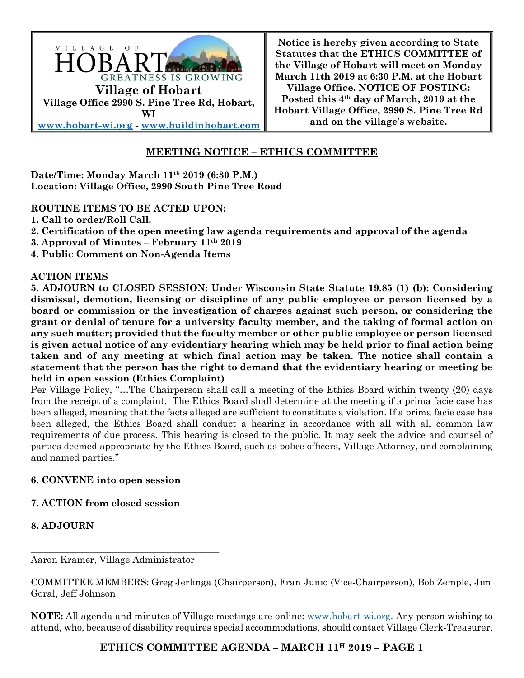

**Notice is hereby given according to State Statutes that the ETHICS COMMITTEE of the Village of Hobart will meet on Monday March 11th 2019 at 6:30 P.M. at the Hobart Village Office. NOTICE OF POSTING: Posted this 4th day of March, 2019 at the Hobart Village Office, 2990 S. Pine Tree Rd and on the village's website.**

# **MEETING NOTICE – ETHICS COMMITTEE**

**Date/Time: Monday March 11th 2019 (6:30 P.M.) Location: Village Office, 2990 South Pine Tree Road**

### **ROUTINE ITEMS TO BE ACTED UPON:**

- **1. Call to order/Roll Call.**
- **2. Certification of the open meeting law agenda requirements and approval of the agenda**
- **3. Approval of Minutes – February 11th 2019**
- **4. Public Comment on Non-Agenda Items**

### **ACTION ITEMS**

**5. ADJOURN to CLOSED SESSION: Under Wisconsin State Statute 19.85 (1) (b): Considering dismissal, demotion, licensing or discipline of any public employee or person licensed by a board or commission or the investigation of charges against such person, or considering the grant or denial of tenure for a university faculty member, and the taking of formal action on any such matter; provided that the faculty member or other public employee or person licensed is given actual notice of any evidentiary hearing which may be held prior to final action being taken and of any meeting at which final action may be taken. The notice shall contain a statement that the person has the right to demand that the evidentiary hearing or meeting be held in open session (Ethics Complaint)**

Per Village Policy, "…The Chairperson shall call a meeting of the Ethics Board within twenty (20) days from the receipt of a complaint. The Ethics Board shall determine at the meeting if a prima facie case has been alleged, meaning that the facts alleged are sufficient to constitute a violation. If a prima facie case has been alleged, the Ethics Board shall conduct a hearing in accordance with all with all common law requirements of due process. This hearing is closed to the public. It may seek the advice and counsel of parties deemed appropriate by the Ethics Board, such as police officers, Village Attorney, and complaining and named parties."

### **6. CONVENE into open session**

## **7. ACTION from closed session**

## **8. ADJOURN**

Aaron Kramer, Village Administrator

\_\_\_\_\_\_\_\_\_\_\_\_\_\_\_\_\_\_\_\_\_\_\_\_\_\_\_\_\_\_\_\_\_\_\_\_\_\_\_\_

COMMITTEE MEMBERS: Greg Jerlinga (Chairperson), Fran Junio (Vice-Chairperson), Bob Zemple, Jim Goral, Jeff Johnson

**NOTE:** All agenda and minutes of Village meetings are online: www.hobart-wi.org. Any person wishing to attend, who, because of disability requires special accommodations, should contact Village Clerk-Treasurer,